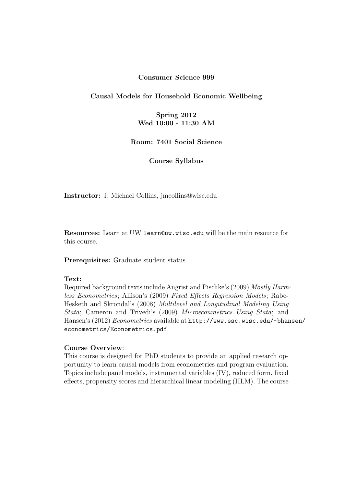# Consumer Science 999

### Causal Models for Household Economic Wellbeing

Spring 2012 Wed 10:00 - 11:30 AM

Room: 7401 Social Science

Course Syllabus

Instructor: J. Michael Collins, jmcollins@wisc.edu

Resources: Learn at UW learn@uw.wisc.edu will be the main resource for this course.

Prerequisites: Graduate student status.

#### Text:

Required background texts include Angrist and Pischke's (2009) Mostly Harmless Econometrics; Allison's (2009) Fixed Effects Regression Models; Rabe-Hesketh and Skrondal's (2008) Multilevel and Longitudinal Modeling Using Stata; Cameron and Trivedi's (2009) Microeconmetrics Using Stata; and Hansen's (2012) Econometrics available at http://www.ssc.wisc.edu/~bhansen/ econometrics/Econometrics.pdf.

#### Course Overview:

This course is designed for PhD students to provide an applied research opportunity to learn causal models from econometrics and program evaluation. Topics include panel models, instrumental variables (IV), reduced form, fixed effects, propensity scores and hierarchical linear modeling (HLM). The course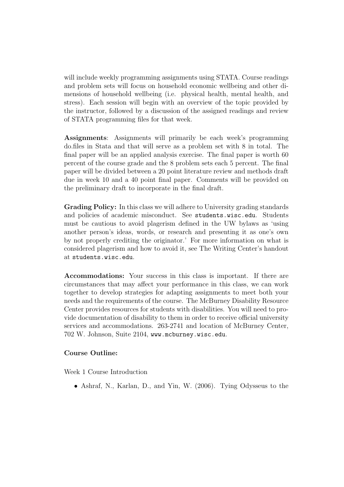will include weekly programming assignments using STATA. Course readings and problem sets will focus on household economic wellbeing and other dimensions of household wellbeing (i.e. physical health, mental health, and stress). Each session will begin with an overview of the topic provided by the instructor, followed by a discussion of the assigned readings and review of STATA programming files for that week.

Assignments: Assignments will primarily be each week's programming do.files in Stata and that will serve as a problem set with 8 in total. The final paper will be an applied analysis exercise. The final paper is worth 60 percent of the course grade and the 8 problem sets each 5 percent. The final paper will be divided between a 20 point literature review and methods draft due in week 10 and a 40 point final paper. Comments will be provided on the preliminary draft to incorporate in the final draft.

Grading Policy: In this class we will adhere to University grading standards and policies of academic misconduct. See students.wisc.edu. Students must be cautious to avoid plagerism defined in the UW bylaws as 'using another person's ideas, words, or research and presenting it as one's own by not properly crediting the originator.' For more information on what is considered plagerism and how to avoid it, see The Writing Center's handout at students.wisc.edu.

Accommodations: Your success in this class is important. If there are circumstances that may affect your performance in this class, we can work together to develop strategies for adapting assignments to meet both your needs and the requirements of the course. The McBurney Disability Resource Center provides resources for students with disabilities. You will need to provide documentation of disability to them in order to receive official university services and accommodations. 263-2741 and location of McBurney Center, 702 W. Johnson, Suite 2104, www.mcburney.wisc.edu.

#### Course Outline:

Week 1 Course Introduction

• Ashraf, N., Karlan, D., and Yin, W. (2006). Tying Odysseus to the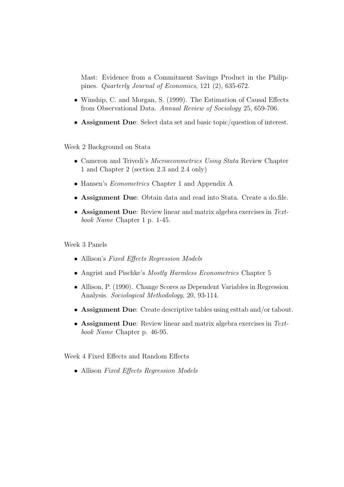Mast: Evidence from a Commitment Savings Product in the Philippines. Quarterly Journal of Economics, 121 (2), 635-672.

- Winship, C. and Morgan, S. (1999). The Estimation of Causal Effects from Observational Data. Annual Review of Sociology 25, 659-706.
- Assignment Due: Select data set and basic topic/question of interest.

Week 2 Background on Stata

- Cameron and Trivedi's Microeconmetrics Using Stata Review Chapter 1 and Chapter 2 (section 2.3 and 2.4 only)
- Hansen's *Econometrics* Chapter 1 and Appendix A
- Assignment Due: Obtain data and read into Stata. Create a do.file.
- Assignment Due: Review linear and matrix algebra exercises in Textbook Name Chapter 1 p. 1-45.

Week 3 Panels

- Allison's Fixed Effects Regression Models
- Angrist and Pischke's *Mostly Harmless Econometrics* Chapter 5
- Allison, P. (1990). Change Scores as Dependent Variables in Regression Analysis. Sociological Methodology, 20, 93-114.
- Assignment Due: Create descriptive tables using esttab and/or tabout.
- Assignment Due: Review linear and matrix algebra exercises in Textbook Name Chapter p. 46-95.

Week 4 Fixed Effects and Random Effects

• Allison Fixed Effects Regression Models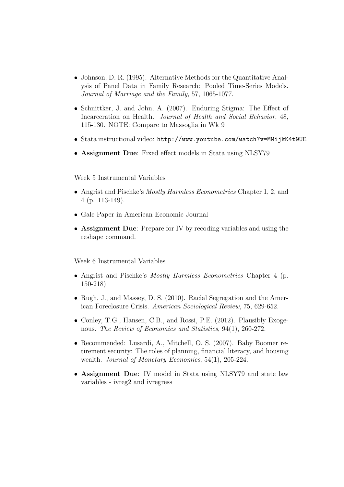- Johnson, D. R. (1995). Alternative Methods for the Quantitative Analysis of Panel Data in Family Research: Pooled Time-Series Models. Journal of Marriage and the Family, 57, 1065-1077.
- Schnittker, J. and John, A. (2007). Enduring Stigma: The Effect of Incarceration on Health. Journal of Health and Social Behavior, 48, 115-130. NOTE: Compare to Massoglia in Wk 9
- Stata instructional video: http://www.youtube.com/watch?v=MMijkK4t9UE
- Assignment Due: Fixed effect models in Stata using NLSY79

Week 5 Instrumental Variables

- Angrist and Pischke's *Mostly Harmless Econometrics* Chapter 1, 2, and 4 (p. 113-149).
- Gale Paper in American Economic Journal
- Assignment Due: Prepare for IV by recoding variables and using the reshape command.

Week 6 Instrumental Variables

- Angrist and Pischke's *Mostly Harmless Econometrics* Chapter 4 (p. 150-218)
- Rugh, J., and Massey, D. S. (2010). Racial Segregation and the American Foreclosure Crisis. American Sociological Review, 75, 629-652.
- Conley, T.G., Hansen, C.B., and Rossi, P.E. (2012). Plausibly Exogenous. The Review of Economics and Statistics, 94(1), 260-272.
- Recommended: Lusardi, A., Mitchell, O. S. (2007). Baby Boomer retirement security: The roles of planning, financial literacy, and housing wealth. Journal of Monetary Economics, 54(1), 205-224.
- Assignment Due: IV model in Stata using NLSY79 and state law variables - ivreg2 and ivregress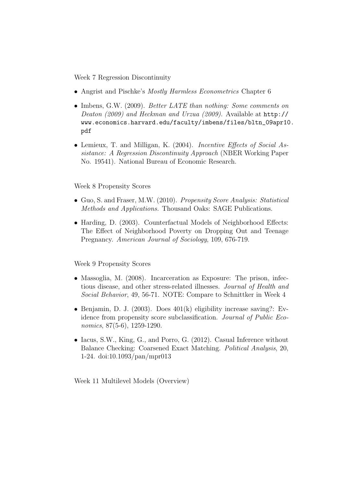Week 7 Regression Discontinuity

- Angrist and Pischke's Mostly Harmless Econometrics Chapter 6
- Imbens, G.W. (2009). *Better LATE than nothing: Some comments on* Deaton (2009) and Heckman and Urzua (2009). Available at http:// www.economics.harvard.edu/faculty/imbens/files/bltn\_09apr10. pdf
- Lemieux, T. and Milligan, K. (2004). *Incentive Effects of Social As*sistance: A Regression Discontinuity Approach (NBER Working Paper No. 19541). National Bureau of Economic Research.

## Week 8 Propensity Scores

- Guo, S. and Fraser, M.W. (2010). Propensity Score Analysis: Statistical Methods and Applications. Thousand Oaks: SAGE Publications.
- Harding, D. (2003). Counterfactual Models of Neighborhood Effects: The Effect of Neighborhood Poverty on Dropping Out and Teenage Pregnancy. American Journal of Sociology, 109, 676-719.

#### Week 9 Propensity Scores

- Massoglia, M. (2008). Incarceration as Exposure: The prison, infectious disease, and other stress-related illnesses. Journal of Health and Social Behavior, 49, 56-71. NOTE: Compare to Schnittker in Week 4
- Benjamin, D. J. (2003). Does  $401(k)$  eligibility increase saving?: Evidence from propensity score subclassification. Journal of Public Economics, 87(5-6), 1259-1290.
- Iacus, S.W., King, G., and Porro, G. (2012). Casual Inference without Balance Checking: Coarsened Exact Matching. Political Analysis, 20, 1-24. doi:10.1093/pan/mpr013

Week 11 Multilevel Models (Overview)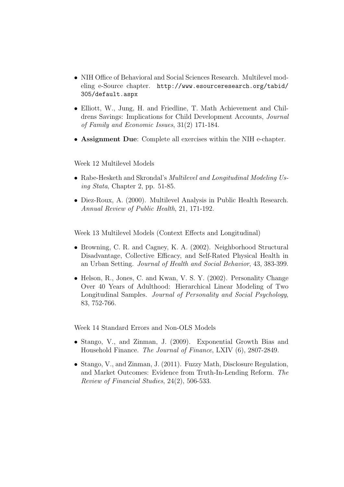- NIH Office of Behavioral and Social Sciences Research. Multilevel modeling e-Source chapter. http://www.esourceresearch.org/tabid/ 305/default.aspx
- Elliott, W., Jung, H. and Friedline, T. Math Achievement and Childrens Savings: Implications for Child Development Accounts, Journal of Family and Economic Issues, 31(2) 171-184.
- Assignment Due: Complete all exercises within the NIH e-chapter.

#### Week 12 Multilevel Models

- Rabe-Hesketh and Skrondal's *Multilevel and Longitudinal Modeling Us*ing Stata, Chapter 2, pp. 51-85.
- Diez-Roux, A. (2000). Multilevel Analysis in Public Health Research. Annual Review of Public Health, 21, 171-192.

Week 13 Multilevel Models (Context Effects and Longitudinal)

- Browning, C. R. and Cagney, K. A. (2002). Neighborhood Structural Disadvantage, Collective Efficacy, and Self-Rated Physical Health in an Urban Setting. Journal of Health and Social Behavior, 43, 383-399.
- Helson, R., Jones, C. and Kwan, V. S. Y. (2002). Personality Change Over 40 Years of Adulthood: Hierarchical Linear Modeling of Two Longitudinal Samples. Journal of Personality and Social Psychology, 83, 752-766.

Week 14 Standard Errors and Non-OLS Models

- Stango, V., and Zinman, J. (2009). Exponential Growth Bias and Household Finance. The Journal of Finance, LXIV (6), 2807-2849.
- Stango, V., and Zinman, J. (2011). Fuzzy Math, Disclosure Regulation, and Market Outcomes: Evidence from Truth-In-Lending Reform. The Review of Financial Studies, 24(2), 506-533.